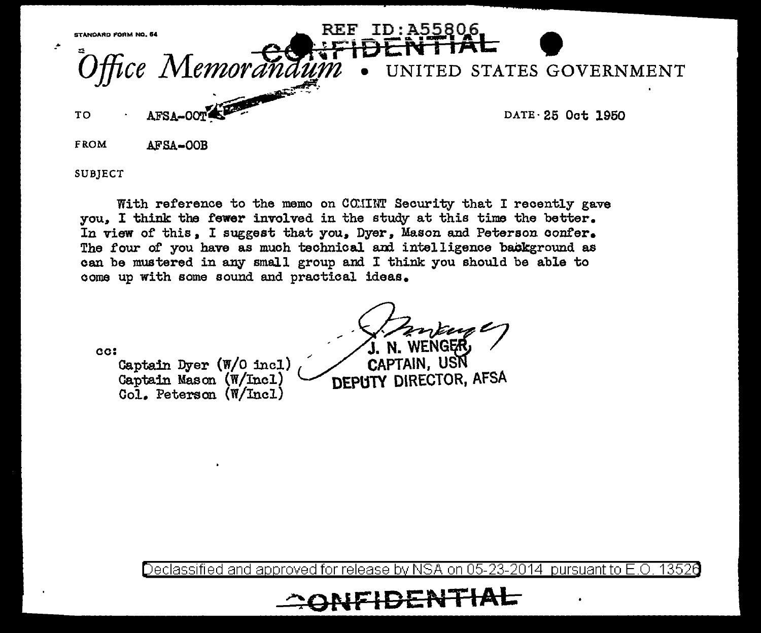

SUBIECT

With reference to the memo on COMINT Security that I recently gave you. I think the fewer involved in the study at this time the better. In view of this, I suggest that you, Dyer, Mason and Peterson confer. The four of you have as much technical and intelligence background as can be mustered in any small group and I think you should be able to come up with some sound and practical ideas.

cc:

Captain Dyer (W/O incl) Captain Mason (W/Incl) Col. Peterson (W/Incl)

CAPTAIN. USN **DEPUTY DIRECTOR, AFSA** 

Declassified and approved for release by NSA on 05-23-2014 pursuant to E.O. 13526

**UDENTIAL**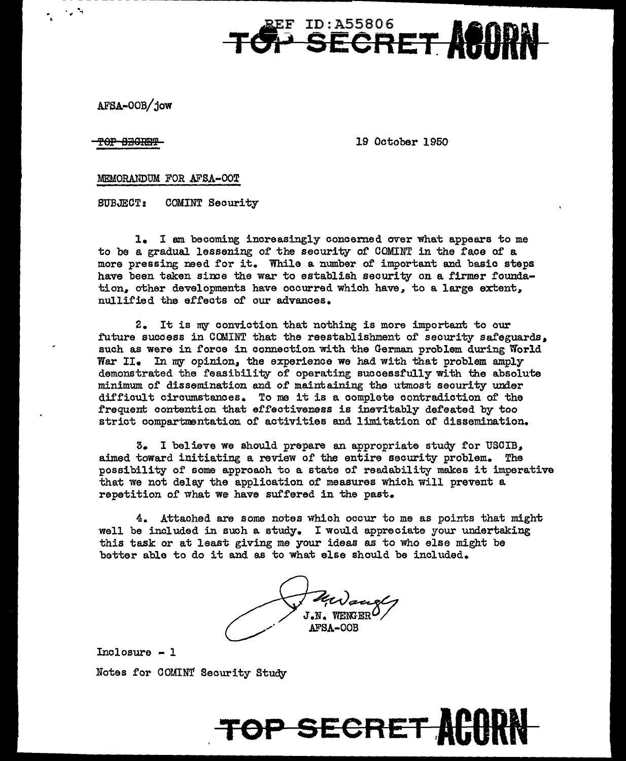**TOP SECRET FET ARADAN** 

AFSA.-OOB/ jow

TOP SECRET

19 October 1950

## MEMORANDUM FOR AFSA-OOT

SUBJECT: COMINT Security

1. I am becoming increasingly concerned over what appears to me to be a gradual lessening of the security of COMINT in the face of a more pressing need for it. While a number of important and basic steps have been taken since the war to establish security on a firmer foundation, other developments have occurred which have, to a large extent, nullified the effects or our advances.

2. It is my conviction that nothing is more important to our .future success in COMINT that the reestablishment of security safeguards• such as were in force in connection with the German problem during World War II. In my opinion, the experience we had with that problem amply demonstrated the feasibility of operating successfully with the absolute minimum of dissemination and of maintaining the utmost security under difficult circumstances. To me it is a complete contradiction of the frequent contention that effectiveness is inevitably defeated by too strict compartmentation of activities and limitation of dissemination.

3. I believe we should prepare an appropriate study for USCIB,, aimed toward initiating a review of the entire security problem. The possibility of some approach to a state of readability makes it imperative that we not delay the application of measures which will prevent a. repetition of what we have suffered in the past.

 $4.$  Attached are some notes which occur to me as points that might well be included in such a. study. I would appreciate your undertaking this task or at least giving me your ideas as to who else might be better able to do it and as to what else should be included.

UN such  $_{\rm J.N.}$  wenger  $O$ AFSA-OOB

TOP SECRET

Incl osure - l Notes for COMINT Security Study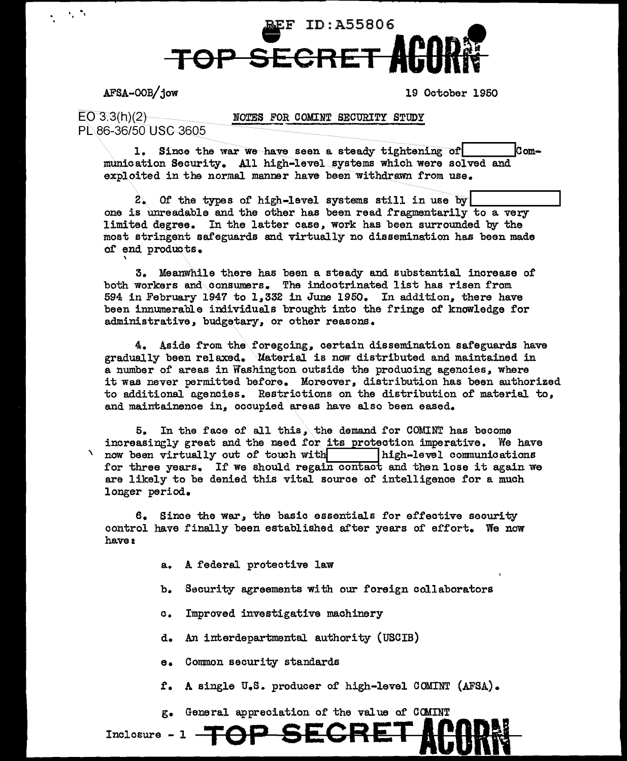

AFSA-OOB/jow

\

·.

19 October 1950

 $EO 3.3(h)(2)$ PL 86-36/50 USC 3605

NOTES FOR COMINT SECURITY STUDY

1. Since the war we have seen a steady tightening of  $\lvert$  Communication Security. All high-level systems which were solved and exploited in the normal manner have been withdrawn from use.

 $2.$  Of the types of high-level systems still in use by  $\boxed{\phantom{a}}$  one is unreadable and the other has been read fragmentarily to a very limited degree. In the latter case. work has been surrounded by the most stringent safeguards and virtually no dissemination has been made of end products.

3. Meanwhile there has been a steady and substantial increase of both workers and consumers. The indootrinated list has risen from 594 in February 1947 to 1.332 in June 1950. In addition. there have been innumerable individuals brought into the fringe of knowledge for administrative. budgetary. or other reasons.

4. Aside from the\foregoing. certain dissemination safeguards have gradually been relaxed. Material is now distributed and maintained in a number of areas in Washington outside the producing agencies. where it was never permitted before. Moreover. distribution has been authorized to additional agencies. Restrictions on the distribution of material to, and maintainence in. occupied areas have also been eased.

 $5.$  In the face of all this, the demand for COMINT has become increasingly great and the need for its protection imperative. We have now been virtually out of touch with high-level communications for three years. If we should regain contact and then lose it again we are likely to be denied this vital source of intelligence for a much longer period.

6. Since the war, the basic essentials for effective security control have finally been established after years of effort. We now have:

- a. A federal protective law
- b. Security agreements with our foreign collaborators
- c. Improved investigative machinery
- d. An interdepartmental authority ( USCIB)
- e. Common security standards
- £'. A single u.s. producer of' high-level COMINT (AFSA).

g. General appreciation of the value of COMINT

Inclosure - 1 **TOP SECRET ACARN**